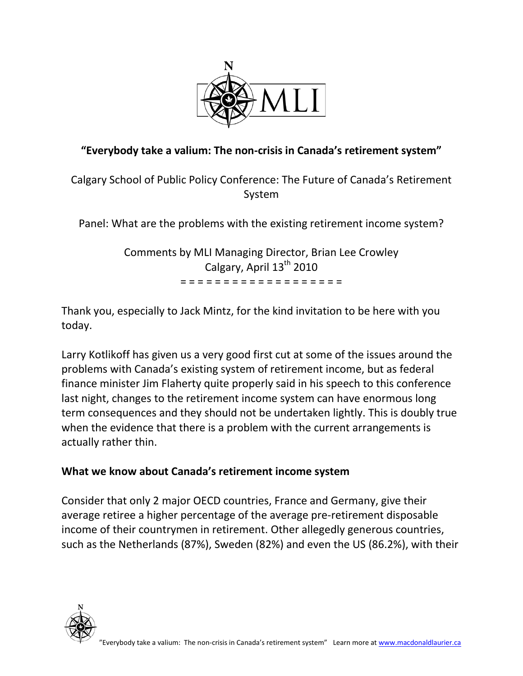

# **"Everybody take a valium: The non-crisis in Canada's retirement system"**

Calgary School of Public Policy Conference: The Future of Canada's Retirement System

Panel: What are the problems with the existing retirement income system?

Comments by MLI Managing Director, Brian Lee Crowley Calgary, April 13<sup>th</sup> 2010 = = = = = = = = = = = = = = = = = = =

Thank you, especially to Jack Mintz, for the kind invitation to be here with you today.

Larry Kotlikoff has given us a very good first cut at some of the issues around the problems with Canada's existing system of retirement income, but as federal finance minister Jim Flaherty quite properly said in his speech to this conference last night, changes to the retirement income system can have enormous long term consequences and they should not be undertaken lightly. This is doubly true when the evidence that there is a problem with the current arrangements is actually rather thin.

## **What we know about Canada's retirement income system**

Consider that only 2 major OECD countries, France and Germany, give their average retiree a higher percentage of the average pre-retirement disposable income of their countrymen in retirement. Other allegedly generous countries, such as the Netherlands (87%), Sweden (82%) and even the US (86.2%), with their

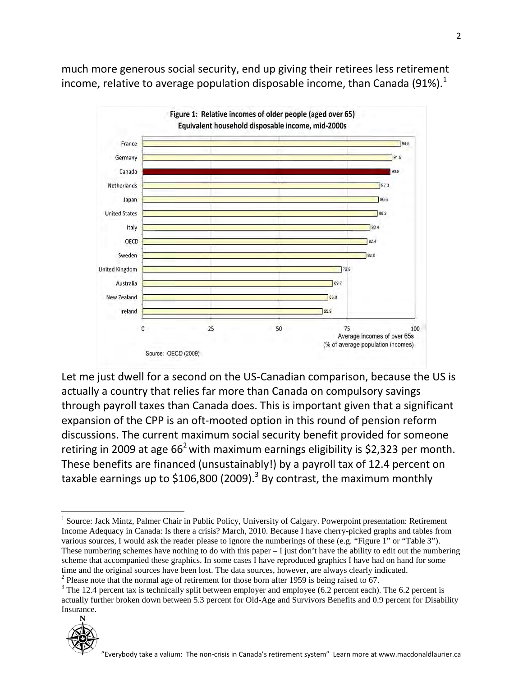much more generous social security, end up giving their retirees less retirement income, relative to average population disposable income, than Canada (91%).<sup>1</sup>



Let me just dwell for a second on the US-Canadian comparison, because the US is actually a country that relies far more than Canada on compulsory savings through payroll taxes than Canada does. This is important given that a significant expansion of the CPP is an oft-mooted option in this round of pension reform discussions. The current maximum social security benefit provided for someone retiring in 2009 at age  $66<sup>2</sup>$  with maximum earnings eligibility is \$2,323 per month. These benefits are financed (unsustainably!) by a payroll tax of 12.4 percent on taxable earnings up to \$106,800 (2009).<sup>3</sup> By contrast, the maximum monthly

<sup>&</sup>lt;sup>2</sup> Please note that the normal age of retirement for those born after 1959 is being raised to 67.  $\frac{3}{10}$  The 12.4 percent tax is technically split between employer and employee (6.2 percent each). The 6.2 percent is actually further broken down between 5.3 percent for Old-Age and Survivors Benefits and 0.9 percent for Disability Insurance.



<sup>&</sup>lt;sup>1</sup> Source: Jack Mintz, Palmer Chair in Public Policy, University of Calgary. Powerpoint presentation: Retirement Income Adequacy in Canada: Is there a crisis? March, 2010. Because I have cherry-picked graphs and tables from various sources, I would ask the reader please to ignore the numberings of these (e.g. "Figure 1" or "Table 3"). These numbering schemes have nothing to do with this paper  $-I$  just don't have the ability to edit out the numbering scheme that accompanied these graphics. In some cases I have reproduced graphics I have had on hand for some time and the original sources have been lost. The data sources, however, are always clearly indicated.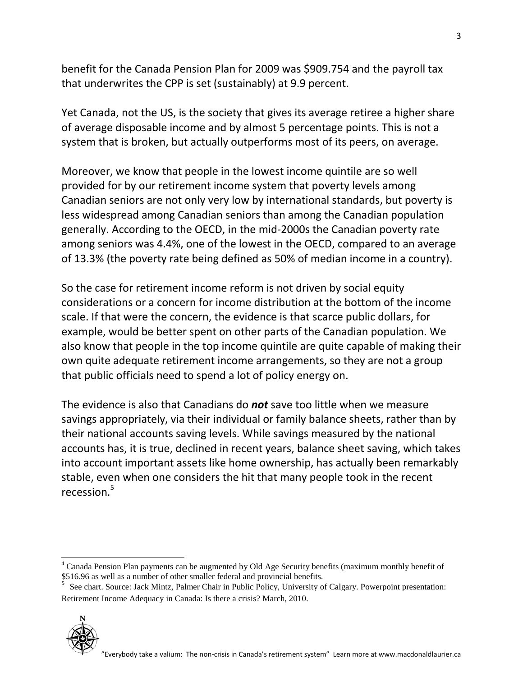benefit for the Canada Pension Plan for 2009 was \$909.754 and the payroll tax that underwrites the CPP is set (sustainably) at 9.9 percent.

Yet Canada, not the US, is the society that gives its average retiree a higher share of average disposable income and by almost 5 percentage points. This is not a system that is broken, but actually outperforms most of its peers, on average.

Moreover, we know that people in the lowest income quintile are so well provided for by our retirement income system that poverty levels among Canadian seniors are not only very low by international standards, but poverty is less widespread among Canadian seniors than among the Canadian population generally. According to the OECD, in the mid-2000s the Canadian poverty rate among seniors was 4.4%, one of the lowest in the OECD, compared to an average of 13.3% (the poverty rate being defined as 50% of median income in a country).

So the case for retirement income reform is not driven by social equity considerations or a concern for income distribution at the bottom of the income scale. If that were the concern, the evidence is that scarce public dollars, for example, would be better spent on other parts of the Canadian population. We also know that people in the top income quintile are quite capable of making their own quite adequate retirement income arrangements, so they are not a group that public officials need to spend a lot of policy energy on.

The evidence is also that Canadians do *not* save too little when we measure savings appropriately, via their individual or family balance sheets, rather than by their national accounts saving levels. While savings measured by the national accounts has, it is true, declined in recent years, balance sheet saving, which takes into account important assets like home ownership, has actually been remarkably stable, even when one considers the hit that many people took in the recent recession.5

Retirement Income Adequacy in Canada: Is there a crisis? March, 2010.



<sup>&</sup>lt;sup>4</sup> Canada Pension Plan payments can be augmented by Old Age Security benefits (maximum monthly benefit of \$516.96 as well as a number of other smaller federal and provincial benefits.<br><sup>5</sup> See chart. Source: Jack Mintz, Palmer Chair in Public Policy, University of Calgary. Powerpoint presentation: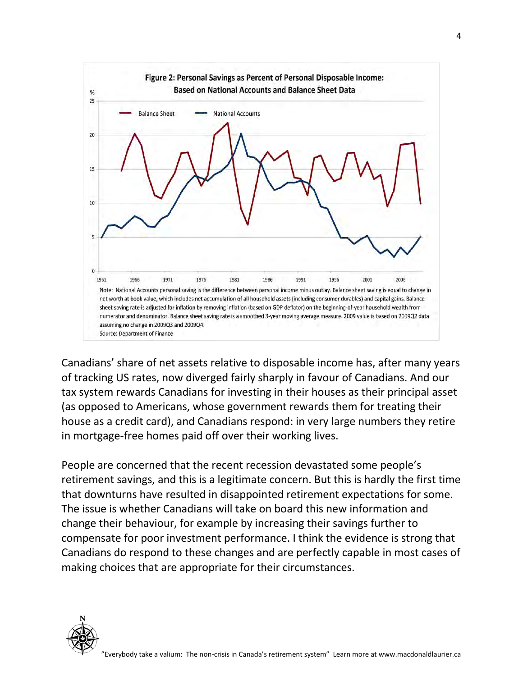

Canadians' share of net assets relative to disposable income has, after many years of tracking US rates, now diverged fairly sharply in favour of Canadians. And our tax system rewards Canadians for investing in their houses as their principal asset (as opposed to Americans, whose government rewards them for treating their house as a credit card), and Canadians respond: in very large numbers they retire in mortgage-free homes paid off over their working lives.

People are concerned that the recent recession devastated some people's retirement savings, and this is a legitimate concern. But this is hardly the first time that downturns have resulted in disappointed retirement expectations for some. The issue is whether Canadians will take on board this new information and change their behaviour, for example by increasing their savings further to compensate for poor investment performance. I think the evidence is strong that Canadians do respond to these changes and are perfectly capable in most cases of making choices that are appropriate for their circumstances.

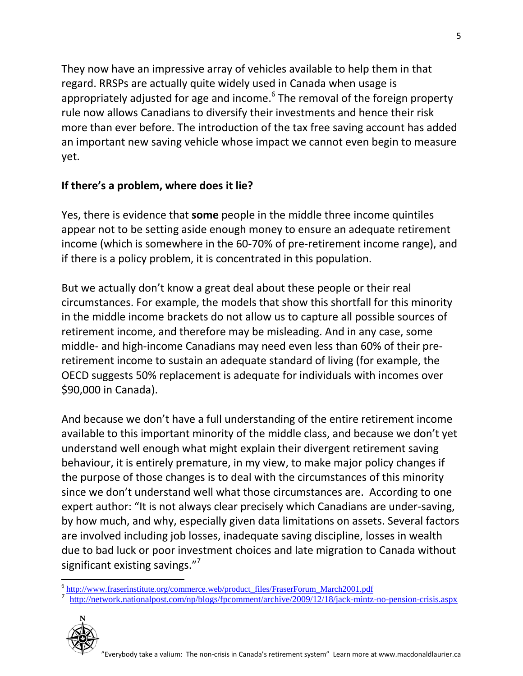They now have an impressive array of vehicles available to help them in that regard. RRSPs are actually quite widely used in Canada when usage is appropriately adjusted for age and income.<sup>6</sup> The removal of the foreign property rule now allows Canadians to diversify their investments and hence their risk more than ever before. The introduction of the tax free saving account has added an important new saving vehicle whose impact we cannot even begin to measure yet.

## **If there's a problem, where does it lie?**

Yes, there is evidence that **some** people in the middle three income quintiles appear not to be setting aside enough money to ensure an adequate retirement income (which is somewhere in the 60-70% of pre-retirement income range), and if there is a policy problem, it is concentrated in this population.

But we actually don't know a great deal about these people or their real circumstances. For example, the models that show this shortfall for this minority in the middle income brackets do not allow us to capture all possible sources of retirement income, and therefore may be misleading. And in any case, some middle- and high-income Canadians may need even less than 60% of their preretirement income to sustain an adequate standard of living (for example, the OECD suggests 50% replacement is adequate for individuals with incomes over \$90,000 in Canada).

And because we don't have a full understanding of the entire retirement income available to this important minority of the middle class, and because we don't yet understand well enough what might explain their divergent retirement saving behaviour, it is entirely premature, in my view, to make major policy changes if the purpose of those changes is to deal with the circumstances of this minority since we don't understand well what those circumstances are. According to one expert author: "It is not always clear precisely which Canadians are under-saving, by how much, and why, especially given data limitations on assets. Several factors are involved including job losses, inadequate saving discipline, losses in wealth due to bad luck or poor investment choices and late migration to Canada without significant existing savings."<sup>7</sup>

<sup>7</sup> <http://network.nationalpost.com/np/blogs/fpcomment/archive/2009/12/18/jack-mintz-no-pension-crisis.aspx>



<sup>&</sup>lt;sup>6</sup> [http://www.fraserinstitute.org/commerce.web/product\\_files/FraserForum\\_March2001.pdf](http://www.fraserinstitute.org/commerce.web/product_files/FraserForum_March2001.pdf)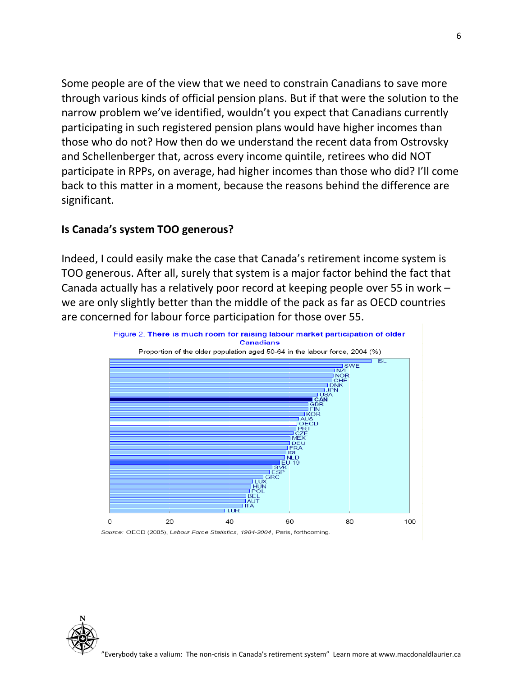Some people are of the view that we need to constrain Canadians to save more through various kinds of official pension plans. But if that were the solution to the narrow problem we've identified, wouldn't you expect that Canadians currently participating in such registered pension plans would have higher incomes than those who do not? How then do we understand the recent data from Ostrovsky and Schellenberger that, across every income quintile, retirees who did NOT participate in RPPs, on average, had higher incomes than those who did? I'll come back to this matter in a moment, because the reasons behind the difference are significant.

#### **Is Canada's system TOO generous?**

Indeed, I could easily make the case that Canada's retirement income system is TOO generous. After all, surely that system is a major factor behind the fact that Canada actually has a relatively poor record at keeping people over 55 in work – we are only slightly better than the middle of the pack as far as OECD countries are concerned for labour force participation for those over 55.

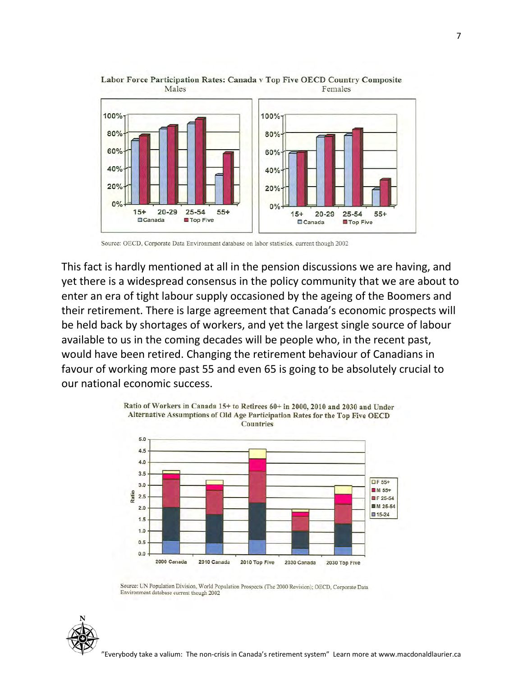

#### Labor Force Participation Rates: Canada v Top Five OECD Country Composite Females Males

Source: OECD, Corporate Data Environment database on labor statistics, current though 2002

This fact is hardly mentioned at all in the pension discussions we are having, and yet there is a widespread consensus in the policy community that we are about to enter an era of tight labour supply occasioned by the ageing of the Boomers and their retirement. There is large agreement that Canada's economic prospects will be held back by shortages of workers, and yet the largest single source of labour available to us in the coming decades will be people who, in the recent past, would have been retired. Changing the retirement behaviour of Canadians in favour of working more past 55 and even 65 is going to be absolutely crucial to our national economic success.



Source: UN Population Division, World Population Prospects (The 2000 Revision); OECD, Corporate Data Environment database current though 2002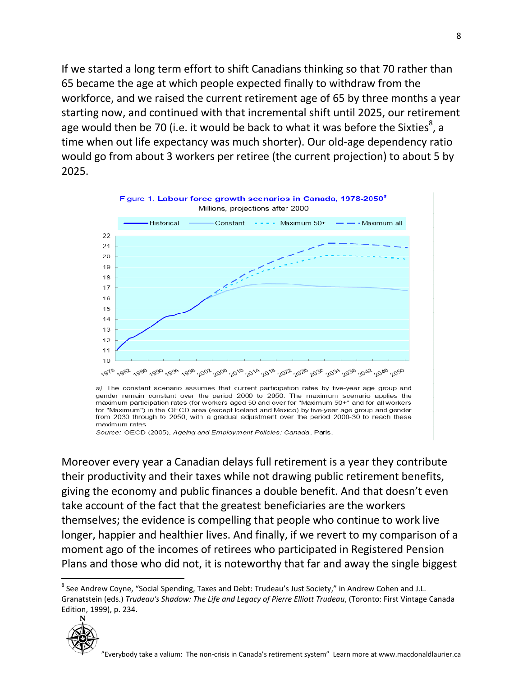If we started a long term effort to shift Canadians thinking so that 70 rather than 65 became the age at which people expected finally to withdraw from the workforce, and we raised the current retirement age of 65 by three months a year starting now, and continued with that incremental shift until 2025, our retirement age would then be 70 (i.e. it would be back to what it was before the Sixties<sup>8</sup>, a time when out life expectancy was much shorter). Our old-age dependency ratio would go from about 3 workers per retiree (the current projection) to about 5 by 2025.



a) The constant scenario assumes that current participation rates by five-year age group and gender remain constant over the period 2000 to 2050. The maximum scenario applies the maximum participation rates (for workers aged 50 and over for "Maximum 50+" and for all workers for "Maximum") in the OECD area (except Iceland and Mexico) by five-year age group and gender from 2030 through to 2050, with a gradual adjustment over the period 2000-30 to reach these maximum rates

Source: OECD (2005), Ageing and Employment Policies: Canada, Paris.

Moreover every year a Canadian delays full retirement is a year they contribute their productivity and their taxes while not drawing public retirement benefits, giving the economy and public finances a double benefit. And that doesn't even take account of the fact that the greatest beneficiaries are the workers themselves; the evidence is compelling that people who continue to work live longer, happier and healthier lives. And finally, if we revert to my comparison of a moment ago of the incomes of retirees who participated in Registered Pension Plans and those who did not, it is noteworthy that far and away the single biggest

<sup>&</sup>lt;sup>8</sup> See Andrew Coyne, "Social Spending, Taxes and Debt: Trudeau's Just Society," in Andrew Cohen and J.L. Granatstein (eds.) *Trudeau's Shadow: The Life and Legacy of Pierre Elliott Trudeau*, (Toronto: First Vintage Canada Edition, 1999), p. 234.

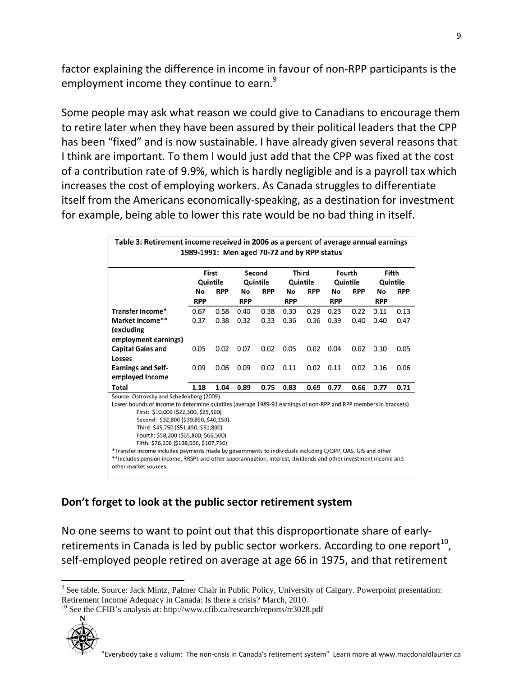factor explaining the difference in income in favour of non-RPP participants is the employment income they continue to earn.<sup>9</sup>

Some people may ask what reason we could give to Canadians to encourage them to retire later when they have been assured by their political leaders that the CPP has been "fixed" and is now sustainable. I have already given several reasons that I think are important. To them I would just add that the CPP was fixed at the cost of a contribution rate of 9.9%, which is hardly negligible and is a payroll tax which increases the cost of employing workers. As Canada struggles to differentiate itself from the Americans economically-speaking, as a destination for investment for example, being able to lower this rate would be no bad thing in itself.

|                                                                                                                 | First<br>Quintile |            | Second<br>Quintile |            | Third<br>Quintile |            | Fourth<br>Quintile |            | Fifth<br>Quintile |            |
|-----------------------------------------------------------------------------------------------------------------|-------------------|------------|--------------------|------------|-------------------|------------|--------------------|------------|-------------------|------------|
|                                                                                                                 |                   |            |                    |            |                   |            |                    |            |                   |            |
|                                                                                                                 | No                | <b>RPP</b> | No                 | <b>RPP</b> | No                | <b>RPP</b> | No                 | <b>RPP</b> | No                | <b>RPP</b> |
|                                                                                                                 | <b>RPP</b>        |            | <b>RPP</b>         |            | <b>RPP</b>        |            | <b>RPP</b>         |            | <b>RPP</b>        |            |
| Transfer Income*                                                                                                | 0.67              | 0.58       | 0.40               | 0.38       | 0.30              | 0.29       | 0.23               | 0.22       | 0.11              | 0.13       |
| Market Income**                                                                                                 | 0.37              | 0.38       | 0.32               | 0.33       | 0.36              | 0.36       | 0.39               | 0.40       | 0.40              | 0.47       |
| (excluding                                                                                                      |                   |            |                    |            |                   |            |                    |            |                   |            |
| employment earnings)                                                                                            |                   |            |                    |            |                   |            |                    |            |                   |            |
| <b>Capital Gains and</b>                                                                                        | 0.05              | 0.02       | 0.07               | 0.02       | 0.05              | 0.02       | 0.04               | 0.02       | 0.10              | 0.05       |
| Losses                                                                                                          |                   |            |                    |            |                   |            |                    |            |                   |            |
| <b>Earnings and Self-</b>                                                                                       | 0.09              | 0.06       | 0.09               | 0.02       | 0.11              | 0.02       | 0.11               | 0.02       | 0.16              | 0.06       |
| employed Income                                                                                                 |                   |            |                    |            |                   |            |                    |            |                   |            |
| Total                                                                                                           | 1.18              | 1.04       | 0.89               | 0.75       | 0.83              | 0.69       | 0.77               | 0.66       | 0.77              | 0.71       |
| Source: Ostrovsky and Schellenberg (2009).                                                                      |                   |            |                    |            |                   |            |                    |            |                   |            |
| Lower bounds of income to determine quintiles (average 1989-91 earnings of non-RPP and RPP members in brackets) |                   |            |                    |            |                   |            |                    |            |                   |            |
| First: \$10,000 (\$22,300, \$25,500)                                                                            |                   |            |                    |            |                   |            |                    |            |                   |            |
| Second: \$32,800 (\$39,850, \$40,150)                                                                           |                   |            |                    |            |                   |            |                    |            |                   |            |
| Third: \$45,750 (\$51,450, \$51,800)                                                                            |                   |            |                    |            |                   |            |                    |            |                   |            |
| Fourth: \$58,200 (\$65,800, \$66,500)                                                                           |                   |            |                    |            |                   |            |                    |            |                   |            |
| Fifth: \$76,100 (\$138,500, \$107,750)                                                                          |                   |            |                    |            |                   |            |                    |            |                   |            |

### **Don't forget to look at the public sector retirement system**

No one seems to want to point out that this disproportionate share of earlyretirements in Canada is led by public sector workers. According to one report<sup>10</sup>, self-employed people retired on average at age 66 in 1975, and that retirement

 $R^{10}$  See the CFIB's analysis at: http://www.cfib.ca/research/reports/rr3028.pdf



 $\overline{\phantom{0}}$ 

<sup>&</sup>lt;sup>9</sup> See table. Source: Jack Mintz, Palmer Chair in Public Policy, University of Calgary. Powerpoint presentation: Retirement Income Adequacy in Canada: Is there a crisis? March, 2010.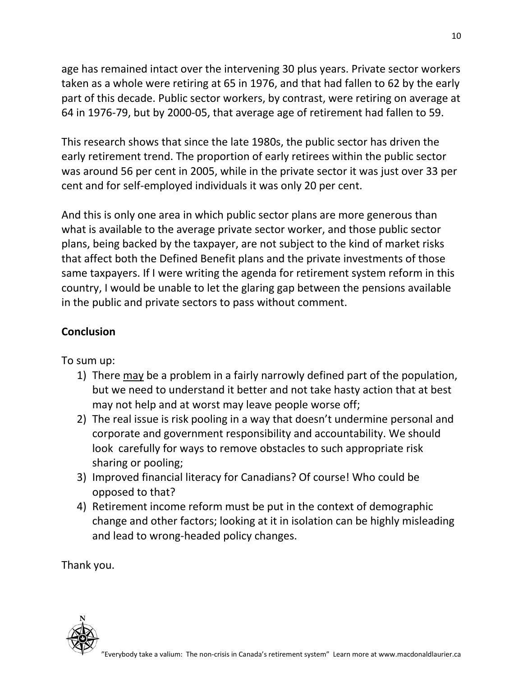age has remained intact over the intervening 30 plus years. Private sector workers taken as a whole were retiring at 65 in 1976, and that had fallen to 62 by the early part of this decade. Public sector workers, by contrast, were retiring on average at 64 in 1976-79, but by 2000-05, that average age of retirement had fallen to 59.

This research shows that since the late 1980s, the public sector has driven the early retirement trend. The proportion of early retirees within the public sector was around 56 per cent in 2005, while in the private sector it was just over 33 per cent and for self-employed individuals it was only 20 per cent.

And this is only one area in which public sector plans are more generous than what is available to the average private sector worker, and those public sector plans, being backed by the taxpayer, are not subject to the kind of market risks that affect both the Defined Benefit plans and the private investments of those same taxpayers. If I were writing the agenda for retirement system reform in this country, I would be unable to let the glaring gap between the pensions available in the public and private sectors to pass without comment.

# **Conclusion**

To sum up:

- 1) There may be a problem in a fairly narrowly defined part of the population, but we need to understand it better and not take hasty action that at best may not help and at worst may leave people worse off;
- 2) The real issue is risk pooling in a way that doesn't undermine personal and corporate and government responsibility and accountability. We should look carefully for ways to remove obstacles to such appropriate risk sharing or pooling;
- 3) Improved financial literacy for Canadians? Of course! Who could be opposed to that?
- 4) Retirement income reform must be put in the context of demographic change and other factors; looking at it in isolation can be highly misleading and lead to wrong-headed policy changes.

Thank you.